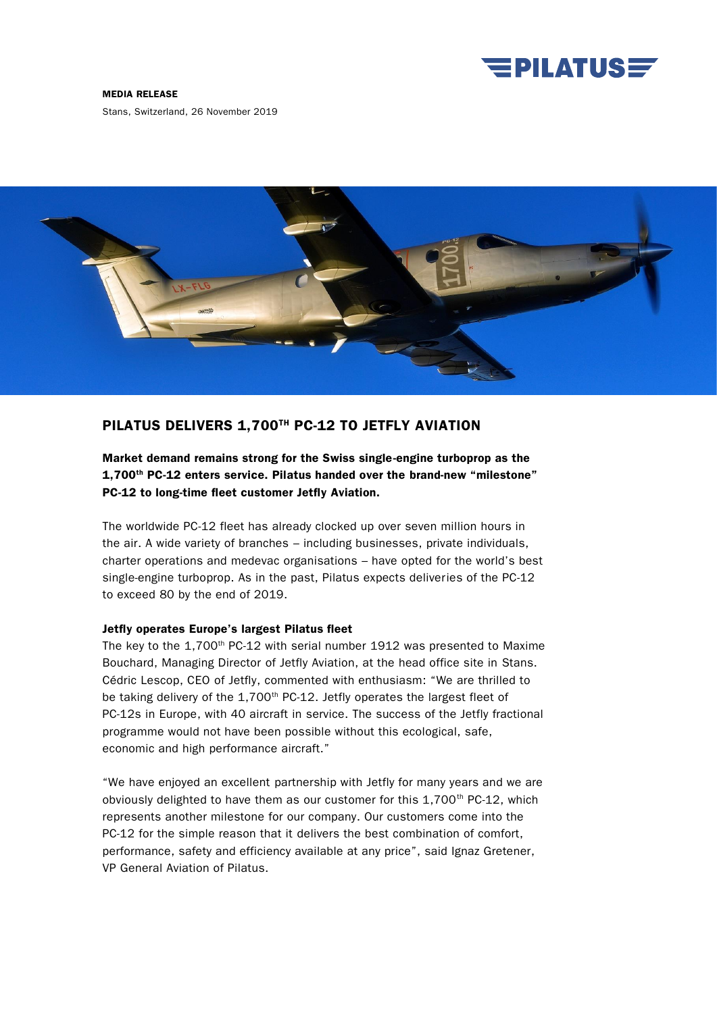

### MEDIA RELEASE

Stans, Switzerland, 26 November 2019



# PILATUS DELIVERS 1,700TH PC-12 TO JETFLY AVIATION

Market demand remains strong for the Swiss single-engine turboprop as the 1,700<sup>th</sup> PC-12 enters service. Pilatus handed over the brand-new "milestone" PC-12 to long-time fleet customer Jetfly Aviation.

The worldwide PC-12 fleet has already clocked up over seven million hours in the air. A wide variety of branches – including businesses, private individuals, charter operations and medevac organisations – have opted for the world's best single-engine turboprop. As in the past, Pilatus expects deliveries of the PC-12 to exceed 80 by the end of 2019.

## Jetfly operates Europe's largest Pilatus fleet

The key to the 1,700<sup>th</sup> PC-12 with serial number 1912 was presented to Maxime Bouchard, Managing Director of Jetfly Aviation, at the head office site in Stans. Cédric Lescop, CEO of Jetfly, commented with enthusiasm: "We are thrilled to be taking delivery of the 1,700<sup>th</sup> PC-12. Jetfly operates the largest fleet of PC-12s in Europe, with 40 aircraft in service. The success of the Jetfly fractional programme would not have been possible without this ecological, safe, economic and high performance aircraft."

"We have enjoyed an excellent partnership with Jetfly for many years and we are obviously delighted to have them as our customer for this  $1.700<sup>th</sup>$  PC-12, which represents another milestone for our company. Our customers come into the PC-12 for the simple reason that it delivers the best combination of comfort, performance, safety and efficiency available at any price", said Ignaz Gretener, VP General Aviation of Pilatus.